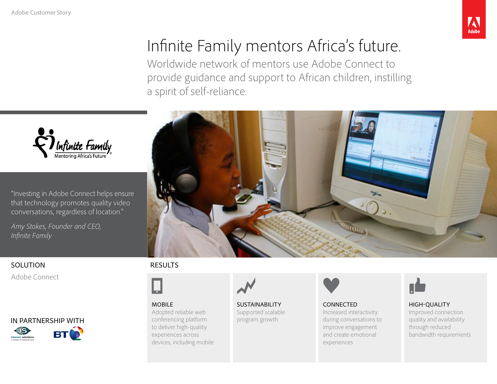

# Infinite Family mentors Africa's future.

Worldwide network of mentors use Adobe Connect to provide guidance and support to African children, instilling a spirit of self-reliance.



"Investing in Adobe Connect helps ensure that technology promotes quality video conversations, regardless of location."

*Amy Stokes, Founder and CEO, Infinite Family* 

#### SOLUTION

Adobe Connect





#### RESULTS



MOBILE Adopted reliable web conferencing platform to deliver high-quality experiences across devices, including mobile



SUSTAINABILITY Supported scalable program growth



CONNECTED Increased interactivity during conversations to improve engagement and create emotional experiences



HIGH-QUALITY Improved connection quality and availability through reduced bandwidth requirements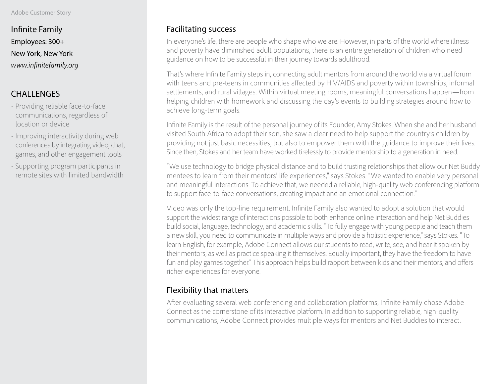Infinite Family Employees: 300+ New York, New York *www.infinitefamily.org* 

# **CHALLENGES**

- Providing reliable face-to-face communications, regardless of location or device
- Improving interactivity during web conferences by integrating video, chat, games, and other engagement tools
- Supporting program participants in remote sites with limited bandwidth

### Facilitating success

In everyone's life, there are people who shape who we are. However, in parts of the world where illness and poverty have diminished adult populations, there is an entire generation of children who need guidance on how to be successful in their journey towards adulthood.

That's where Infinite Family steps in, connecting adult mentors from around the world via a virtual forum with teens and pre-teens in communities affected by HIV/AIDS and poverty within townships, informal settlements, and rural villages. Within virtual meeting rooms, meaningful conversations happen—from helping children with homework and discussing the day's events to building strategies around how to achieve long-term goals.

Infinite Family is the result of the personal journey of its Founder, Amy Stokes. When she and her husband visited South Africa to adopt their son, she saw a clear need to help support the country's children by providing not just basic necessities, but also to empower them with the guidance to improve their lives. Since then, Stokes and her team have worked tirelessly to provide mentorship to a generation in need.

"We use technology to bridge physical distance and to build trusting relationships that allow our Net Buddy mentees to learn from their mentors' life experiences," says Stokes. "We wanted to enable very personal and meaningful interactions. To achieve that, we needed a reliable, high-quality web conferencing platform to support face-to-face conversations, creating impact and an emotional connection."

Video was only the top-line requirement. Infinite Family also wanted to adopt a solution that would support the widest range of interactions possible to both enhance online interaction and help Net Buddies build social, language, technology, and academic skills. "To fully engage with young people and teach them a new skill, you need to communicate in multiple ways and provide a holistic experience," says Stokes. "To learn English, for example, Adobe Connect allows our students to read, write, see, and hear it spoken by their mentors, as well as practice speaking it themselves. Equally important, they have the freedom to have fun and play games together." This approach helps build rapport between kids and their mentors, and offers richer experiences for everyone.

# Flexibility that matters

After evaluating several web conferencing and collaboration platforms, Infinite Family chose Adobe Connect as the cornerstone of its interactive platform. In addition to supporting reliable, high-quality communications, Adobe Connect provides multiple ways for mentors and Net Buddies to interact.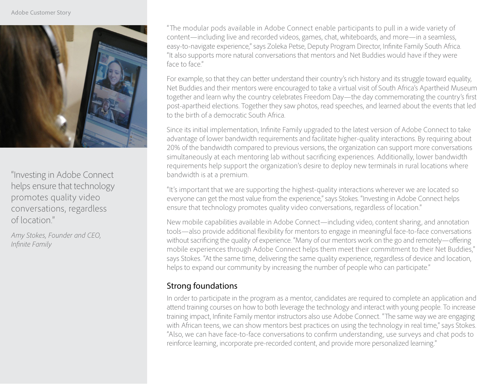

"Investing in Adobe Connect helps ensure that technology promotes quality video conversations, regardless of location."

*Amy Stokes, Founder and CEO, Infinite Family*

"The modular pods available in Adobe Connect enable participants to pull in a wide variety of content—including live and recorded videos, games, chat, whiteboards, and more—in a seamless, easy-to-navigate experience," says Zoleka Petse, Deputy Program Director, Infinite Family South Africa. "It also supports more natural conversations that mentors and Net Buddies would have if they were face to face."

For example, so that they can better understand their country's rich history and its struggle toward equality, Net Buddies and their mentors were encouraged to take a virtual visit of South Africa's Apartheid Museum together and learn why the country celebrates Freedom Day—the day commemorating the country's first post-apartheid elections. Together they saw photos, read speeches, and learned about the events that led to the birth of a democratic South Africa.

Since its initial implementation, Infinite Family upgraded to the latest version of Adobe Connect to take advantage of lower bandwidth requirements and facilitate higher-quality interactions. By requiring about 20% of the bandwidth compared to previous versions, the organization can support more conversations simultaneously at each mentoring lab without sacrificing experiences. Additionally, lower bandwidth requirements help support the organization's desire to deploy new terminals in rural locations where bandwidth is at a premium.

"It's important that we are supporting the highest-quality interactions wherever we are located so everyone can get the most value from the experience," says Stokes. "Investing in Adobe Connect helps ensure that technology promotes quality video conversations, regardless of location."

New mobile capabilities available in Adobe Connect—including video, content sharing, and annotation tools—also provide additional flexibility for mentors to engage in meaningful face-to-face conversations without sacrificing the quality of experience. "Many of our mentors work on the go and remotely—offering mobile experiences through Adobe Connect helps them meet their commitment to their Net Buddies," says Stokes. "At the same time, delivering the same quality experience, regardless of device and location, helps to expand our community by increasing the number of people who can participate."

# Strong foundations

In order to participate in the program as a mentor, candidates are required to complete an application and attend training courses on how to both leverage the technology and interact with young people. To increase training impact, Infinite Family mentor instructors also use Adobe Connect. "The same way we are engaging with African teens, we can show mentors best practices on using the technology in real time," says Stokes. "Also, we can have face-to-face conversations to confirm understanding, use surveys and chat pods to reinforce learning, incorporate pre-recorded content, and provide more personalized learning."